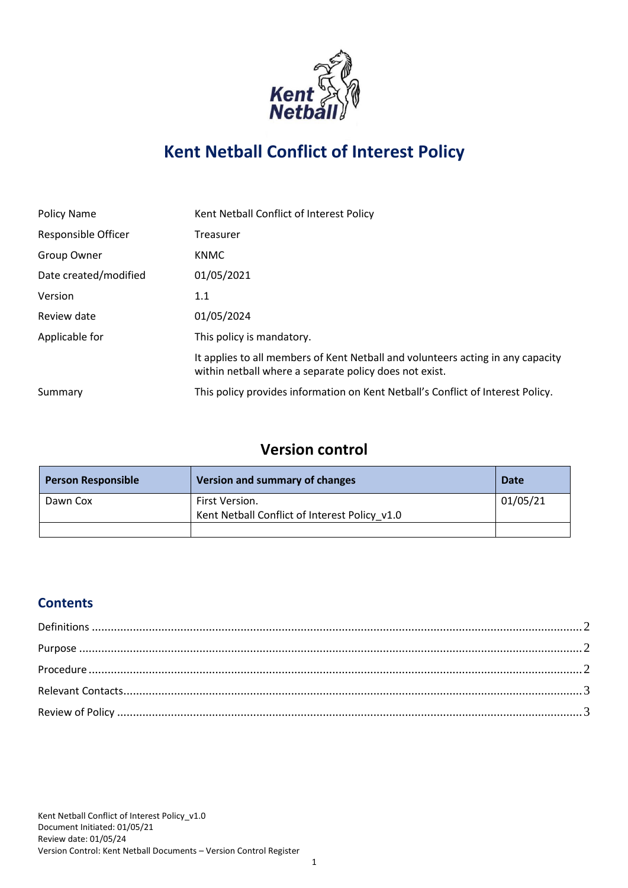

# **Kent Netball Conflict of Interest Policy**

| Policy Name           | Kent Netball Conflict of Interest Policy                                                                                                  |
|-----------------------|-------------------------------------------------------------------------------------------------------------------------------------------|
| Responsible Officer   | Treasurer                                                                                                                                 |
| Group Owner           | <b>KNMC</b>                                                                                                                               |
| Date created/modified | 01/05/2021                                                                                                                                |
| Version               | 1.1                                                                                                                                       |
| Review date           | 01/05/2024                                                                                                                                |
| Applicable for        | This policy is mandatory.                                                                                                                 |
|                       | It applies to all members of Kent Netball and volunteers acting in any capacity<br>within netball where a separate policy does not exist. |
| Summary               | This policy provides information on Kent Netball's Conflict of Interest Policy.                                                           |

# **Version control**

| <b>Person Responsible</b> | Version and summary of changes                | Date     |
|---------------------------|-----------------------------------------------|----------|
| Dawn Cox                  | First Version.                                | 01/05/21 |
|                           | Kent Netball Conflict of Interest Policy v1.0 |          |
|                           |                                               |          |

## **Contents**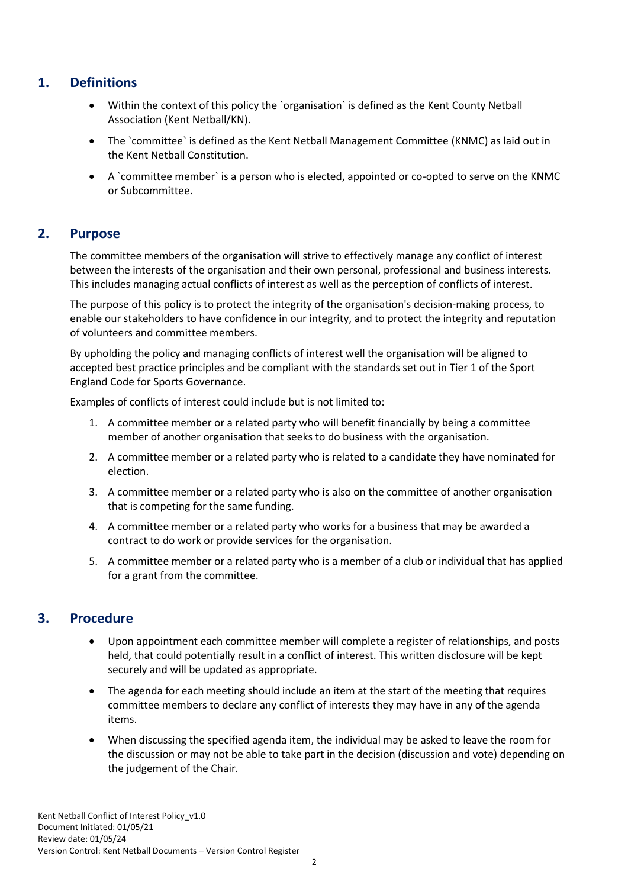#### <span id="page-1-0"></span>**1. Definitions**

- Within the context of this policy the `organisation` is defined as the Kent County Netball Association (Kent Netball/KN).
- The `committee` is defined as the Kent Netball Management Committee (KNMC) as laid out in the Kent Netball Constitution.
- A `committee member` is a person who is elected, appointed or co-opted to serve on the KNMC or Subcommittee.

#### <span id="page-1-1"></span>**2. Purpose**

The committee members of the organisation will strive to effectively manage any conflict of interest between the interests of the organisation and their own personal, professional and business interests. This includes managing actual conflicts of interest as well as the perception of conflicts of interest.

The purpose of this policy is to protect the integrity of the organisation's decision-making process, to enable our stakeholders to have confidence in our integrity, and to protect the integrity and reputation of volunteers and committee members.

By upholding the policy and managing conflicts of interest well the organisation will be aligned to accepted best practice principles and be compliant with the standards set out in Tier 1 of the Sport England Code for Sports Governance.

Examples of conflicts of interest could include but is not limited to:

- 1. A committee member or a related party who will benefit financially by being a committee member of another organisation that seeks to do business with the organisation.
- 2. A committee member or a related party who is related to a candidate they have nominated for election.
- 3. A committee member or a related party who is also on the committee of another organisation that is competing for the same funding.
- 4. A committee member or a related party who works for a business that may be awarded a contract to do work or provide services for the organisation.
- 5. A committee member or a related party who is a member of a club or individual that has applied for a grant from the committee.

#### <span id="page-1-2"></span>**3. Procedure**

- Upon appointment each committee member will complete a register of relationships, and posts held, that could potentially result in a conflict of interest. This written disclosure will be kept securely and will be updated as appropriate.
- The agenda for each meeting should include an item at the start of the meeting that requires committee members to declare any conflict of interests they may have in any of the agenda items.
- When discussing the specified agenda item, the individual may be asked to leave the room for the discussion or may not be able to take part in the decision (discussion and vote) depending on the judgement of the Chair.